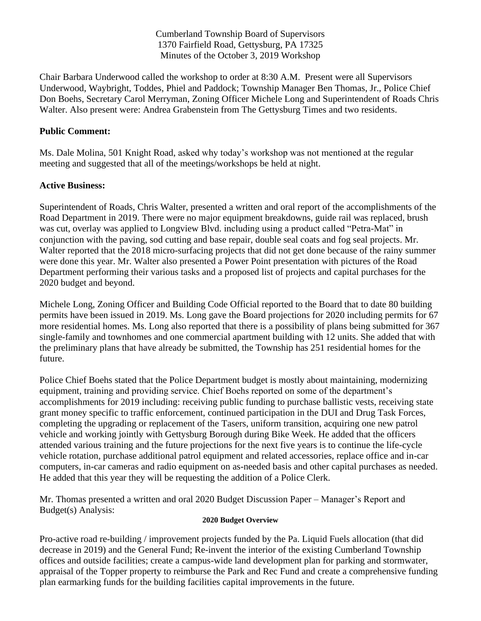Cumberland Township Board of Supervisors 1370 Fairfield Road, Gettysburg, PA 17325 Minutes of the October 3, 2019 Workshop

Chair Barbara Underwood called the workshop to order at 8:30 A.M. Present were all Supervisors Underwood, Waybright, Toddes, Phiel and Paddock; Township Manager Ben Thomas, Jr., Police Chief Don Boehs, Secretary Carol Merryman, Zoning Officer Michele Long and Superintendent of Roads Chris Walter. Also present were: Andrea Grabenstein from The Gettysburg Times and two residents.

## **Public Comment:**

Ms. Dale Molina, 501 Knight Road, asked why today's workshop was not mentioned at the regular meeting and suggested that all of the meetings/workshops be held at night.

## **Active Business:**

Superintendent of Roads, Chris Walter, presented a written and oral report of the accomplishments of the Road Department in 2019. There were no major equipment breakdowns, guide rail was replaced, brush was cut, overlay was applied to Longview Blvd. including using a product called "Petra-Mat" in conjunction with the paving, sod cutting and base repair, double seal coats and fog seal projects. Mr. Walter reported that the 2018 micro-surfacing projects that did not get done because of the rainy summer were done this year. Mr. Walter also presented a Power Point presentation with pictures of the Road Department performing their various tasks and a proposed list of projects and capital purchases for the 2020 budget and beyond.

Michele Long, Zoning Officer and Building Code Official reported to the Board that to date 80 building permits have been issued in 2019. Ms. Long gave the Board projections for 2020 including permits for 67 more residential homes. Ms. Long also reported that there is a possibility of plans being submitted for 367 single-family and townhomes and one commercial apartment building with 12 units. She added that with the preliminary plans that have already be submitted, the Township has 251 residential homes for the future.

Police Chief Boehs stated that the Police Department budget is mostly about maintaining, modernizing equipment, training and providing service. Chief Boehs reported on some of the department's accomplishments for 2019 including: receiving public funding to purchase ballistic vests, receiving state grant money specific to traffic enforcement, continued participation in the DUI and Drug Task Forces, completing the upgrading or replacement of the Tasers, uniform transition, acquiring one new patrol vehicle and working jointly with Gettysburg Borough during Bike Week. He added that the officers attended various training and the future projections for the next five years is to continue the life-cycle vehicle rotation, purchase additional patrol equipment and related accessories, replace office and in-car computers, in-car cameras and radio equipment on as-needed basis and other capital purchases as needed. He added that this year they will be requesting the addition of a Police Clerk.

Mr. Thomas presented a written and oral 2020 Budget Discussion Paper – Manager's Report and Budget(s) Analysis:

## **2020 Budget Overview**

Pro-active road re-building / improvement projects funded by the Pa. Liquid Fuels allocation (that did decrease in 2019) and the General Fund; Re-invent the interior of the existing Cumberland Township offices and outside facilities; create a campus-wide land development plan for parking and stormwater, appraisal of the Topper property to reimburse the Park and Rec Fund and create a comprehensive funding plan earmarking funds for the building facilities capital improvements in the future.